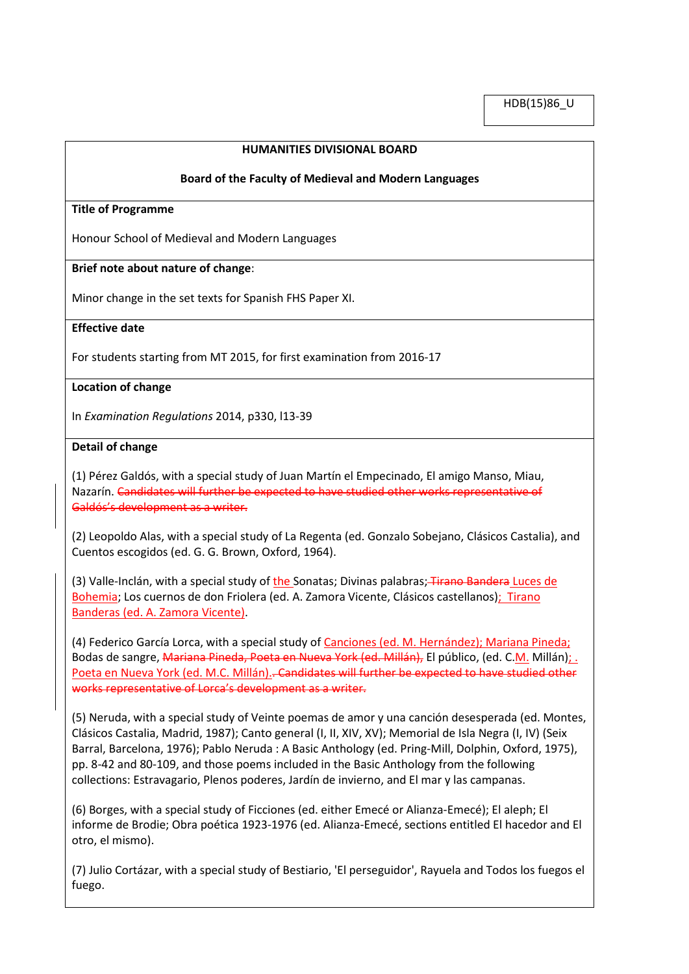HDB(15)86\_U

## **HUMANITIES DIVISIONAL BOARD**

#### **Board of the Faculty of Medieval and Modern Languages**

### **Title of Programme**

Honour School of Medieval and Modern Languages

## **Brief note about nature of change**:

Minor change in the set texts for Spanish FHS Paper XI.

### **Effective date**

For students starting from MT 2015, for first examination from 2016-17

### **Location of change**

In *Examination Regulations* 2014, p330, l13-39

### **Detail of change**

(1) Pérez Galdós, with a special study of Juan Martín el Empecinado, El amigo Manso, Miau, Nazarín. Candidates will further be expected to have studied other works representative of Galdós's development as a writer.

(2) Leopoldo Alas, with a special study of La Regenta (ed. Gonzalo Sobejano, Clásicos Castalia), and Cuentos escogidos (ed. G. G. Brown, Oxford, 1964).

(3) Valle-Inclán, with a special study of the Sonatas; Divinas palabras; Tirano Bandera Luces de Bohemia; Los cuernos de don Friolera (ed. A. Zamora Vicente, Clásicos castellanos); Tirano Banderas (ed. A. Zamora Vicente).

(4) Federico García Lorca, with a special study of Canciones (ed. M. Hernández); Mariana Pineda; Bodas de sangre, Mariana Pineda, Poeta en Nueva York (ed. Millán), El público, (ed. C.M. Millán); . Poeta en Nueva York (ed. M.C. Millán).. Candidates will further be expected to have studied other works representative of Lorca's development as a writer.

(5) Neruda, with a special study of Veinte poemas de amor y una canción desesperada (ed. Montes, Clásicos Castalia, Madrid, 1987); Canto general (I, II, XIV, XV); Memorial de Isla Negra (I, IV) (Seix Barral, Barcelona, 1976); Pablo Neruda : A Basic Anthology (ed. Pring-Mill, Dolphin, Oxford, 1975), pp. 8-42 and 80-109, and those poems included in the Basic Anthology from the following collections: Estravagario, Plenos poderes, Jardín de invierno, and El mar y las campanas.

(6) Borges, with a special study of Ficciones (ed. either Emecé or Alianza-Emecé); El aleph; El informe de Brodie; Obra poética 1923-1976 (ed. Alianza-Emecé, sections entitled El hacedor and El otro, el mismo).

(7) Julio Cortázar, with a special study of Bestiario, 'El perseguidor', Rayuela and Todos los fuegos el fuego.